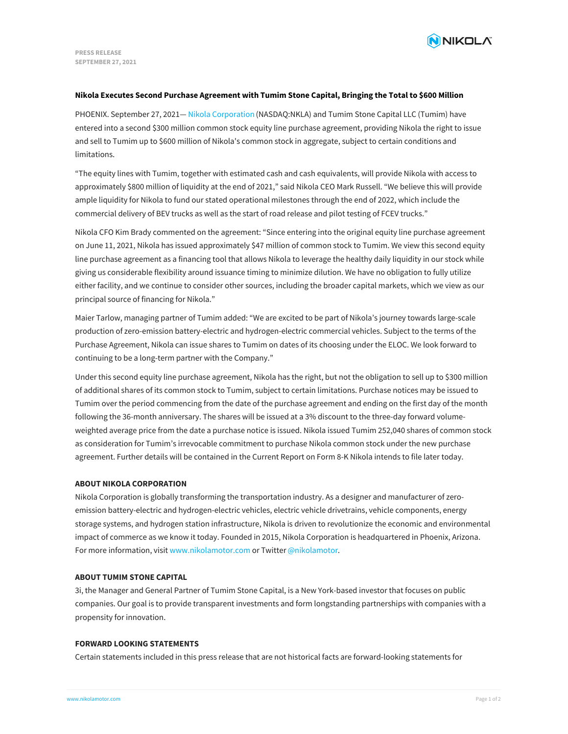

### **Nikola Executes Second Purchase Agreement with Tumim Stone Capital, Bringing the Total to \$600 Million**

PHOENIX. September 27, 2021— Nikola [Corporation](https://www.nikolamotor.com/) (NASDAQ:NKLA) and Tumim Stone Capital LLC (Tumim) have entered into a second \$300 million common stock equity line purchase agreement, providing Nikola the right to issue and sell to Tumim up to \$600 million of Nikola's common stock in aggregate, subject to certain conditions and limitations.

"The equity lines with Tumim, together with estimated cash and cash equivalents, will provide Nikola with access to approximately \$800 million of liquidity at the end of 2021," said Nikola CEO Mark Russell. "We believe this will provide ample liquidity for Nikola to fund our stated operational milestones through the end of 2022, which include the commercial delivery of BEV trucks as well as the start of road release and pilot testing of FCEV trucks."

Nikola CFO Kim Brady commented on the agreement: "Since entering into the original equity line purchase agreement on June 11, 2021, Nikola has issued approximately \$47 million of common stock to Tumim. We view this second equity line purchase agreement as a financing tool that allows Nikola to leverage the healthy daily liquidity in our stock while giving us considerable flexibility around issuance timing to minimize dilution. We have no obligation to fully utilize either facility, and we continue to consider other sources, including the broader capital markets, which we view as our principal source of financing for Nikola."

Maier Tarlow, managing partner of Tumim added: "We are excited to be part of Nikola's journey towards large-scale production of zero-emission battery-electric and hydrogen-electric commercial vehicles. Subject to the terms of the Purchase Agreement, Nikola can issue shares to Tumim on dates of its choosing under the ELOC. We look forward to continuing to be a long-term partner with the Company."

Under this second equity line purchase agreement, Nikola has the right, but not the obligation to sell up to \$300 million of additional shares of its common stock to Tumim, subject to certain limitations. Purchase notices may be issued to Tumim over the period commencing from the date of the purchase agreement and ending on the first day of the month following the 36-month anniversary. The shares will be issued at a 3% discount to the three-day forward volumeweighted average price from the date a purchase notice is issued. Nikola issued Tumim 252,040 shares of common stock as consideration for Tumim's irrevocable commitment to purchase Nikola common stock under the new purchase agreement. Further details will be contained in the Current Report on Form 8-K Nikola intends to file later today.

# **ABOUT NIKOLA CORPORATION**

Nikola Corporation is globally transforming the transportation industry. As a designer and manufacturer of zeroemission battery-electric and hydrogen-electric vehicles, electric vehicle drivetrains, vehicle components, energy storage systems, and hydrogen station infrastructure, Nikola is driven to revolutionize the economic and environmental impact of commerce as we know it today. Founded in 2015, Nikola Corporation is headquartered in Phoenix, Arizona. For more information, visit [www.nikolamotor.com](https://www.nikolamotor.com) or Twitter [@nikolamotor](https://www.twitter.com/nikolamotor).

# **ABOUT TUMIM STONE CAPITAL**

3i, the Manager and General Partner of Tumim Stone Capital, is a New York-based investor that focuses on public companies. Our goal is to provide transparent investments and form longstanding partnerships with companies with a propensity for innovation.

### **FORWARD LOOKING STATEMENTS**

[Certain](file:///) statements included in this press release that are not historical facts are forward-looking statements for